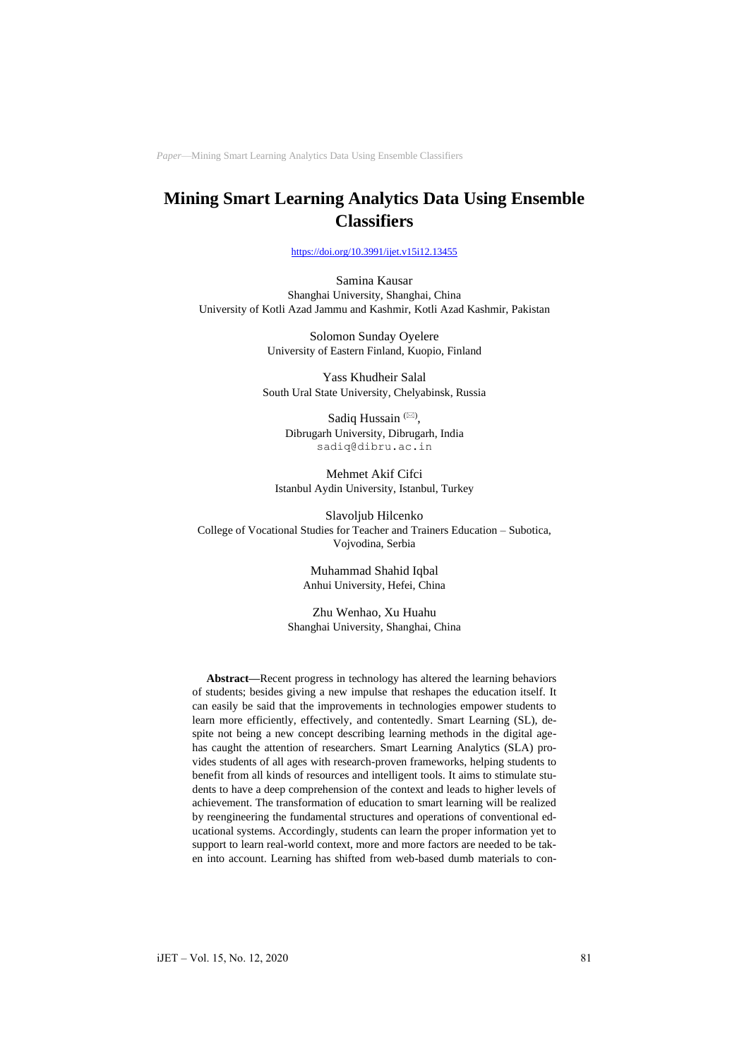# **Mining Smart Learning Analytics Data Using Ensemble Classifiers**

<https://doi.org/10.3991/ijet.v15i12.13455>

Samina Kausar Shanghai University, Shanghai, China University of Kotli Azad Jammu and Kashmir, Kotli Azad Kashmir, Pakistan

> Solomon Sunday Oyelere University of Eastern Finland, Kuopio, Finland

Yass Khudheir Salal South Ural State University, Chelyabinsk, Russia

> Sadiq Hussain<sup>( $\boxtimes$ )</sup>, Dibrugarh University, Dibrugarh, India [sadiq@dibru.ac.in](mailto:sadiq@dibru.ac.in)

Mehmet Akif Cifci Istanbul Aydin University, Istanbul, Turkey

Slavoljub Hilcenko College of Vocational Studies for Teacher and Trainers Education – Subotica, Vojvodina, Serbia

> Muhammad Shahid Iqbal Anhui University, Hefei, China

Zhu Wenhao, Xu Huahu Shanghai University, Shanghai, China

**Abstract—**Recent progress in technology has altered the learning behaviors of students; besides giving a new impulse that reshapes the education itself. It can easily be said that the improvements in technologies empower students to learn more efficiently, effectively, and contentedly. Smart Learning (SL), despite not being a new concept describing learning methods in the digital agehas caught the attention of researchers. Smart Learning Analytics (SLA) provides students of all ages with research-proven frameworks, helping students to benefit from all kinds of resources and intelligent tools. It aims to stimulate students to have a deep comprehension of the context and leads to higher levels of achievement. The transformation of education to smart learning will be realized by reengineering the fundamental structures and operations of conventional educational systems. Accordingly, students can learn the proper information yet to support to learn real-world context, more and more factors are needed to be taken into account. Learning has shifted from web-based dumb materials to con-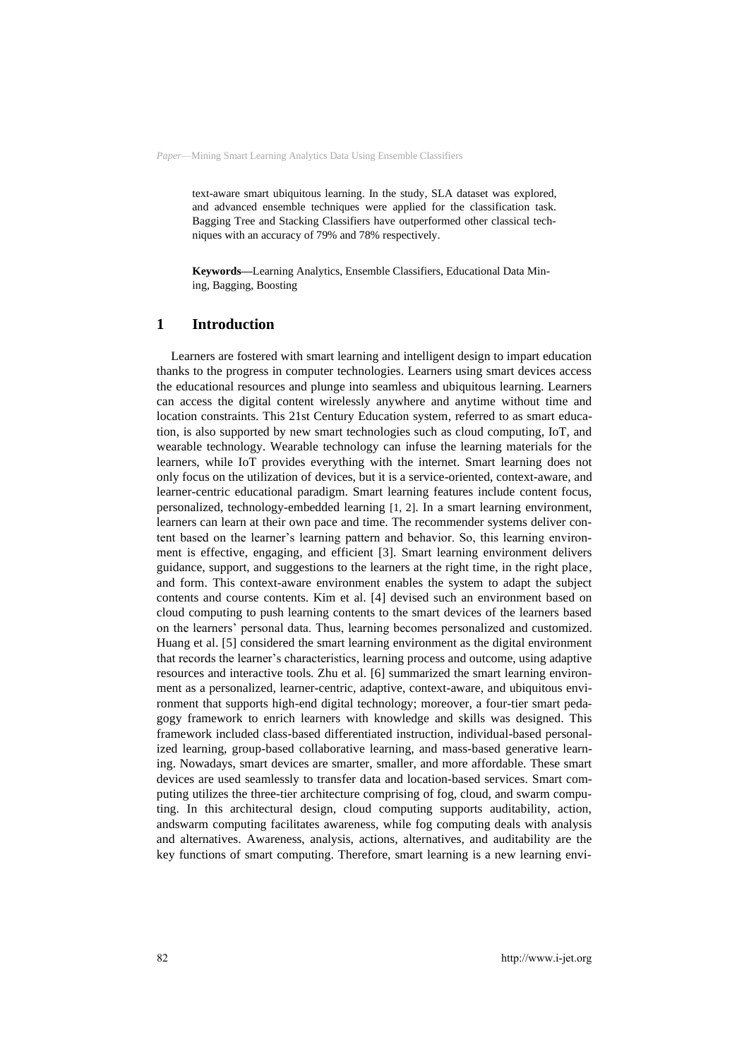text-aware smart ubiquitous learning. In the study, SLA dataset was explored, and advanced ensemble techniques were applied for the classification task. Bagging Tree and Stacking Classifiers have outperformed other classical techniques with an accuracy of 79% and 78% respectively.

**Keywords—**Learning Analytics, Ensemble Classifiers, Educational Data Mining, Bagging, Boosting

### **1 Introduction**

Learners are fostered with smart learning and intelligent design to impart education thanks to the progress in computer technologies. Learners using smart devices access the educational resources and plunge into seamless and ubiquitous learning. Learners can access the digital content wirelessly anywhere and anytime without time and location constraints. This 21st Century Education system, referred to as smart education, is also supported by new smart technologies such as cloud computing, IoT, and wearable technology. Wearable technology can infuse the learning materials for the learners, while IoT provides everything with the internet. Smart learning does not only focus on the utilization of devices, but it is a service-oriented, context-aware, and learner-centric educational paradigm. Smart learning features include content focus, personalized, technology-embedded learning [1, 2]. In a smart learning environment, learners can learn at their own pace and time. The recommender systems deliver content based on the learner's learning pattern and behavior. So, this learning environment is effective, engaging, and efficient [3]. Smart learning environment delivers guidance, support, and suggestions to the learners at the right time, in the right place, and form. This context-aware environment enables the system to adapt the subject contents and course contents. Kim et al. [4] devised such an environment based on cloud computing to push learning contents to the smart devices of the learners based on the learners' personal data. Thus, learning becomes personalized and customized. Huang et al. [5] considered the smart learning environment as the digital environment that records the learner's characteristics, learning process and outcome, using adaptive resources and interactive tools. Zhu et al. [6] summarized the smart learning environment as a personalized, learner-centric, adaptive, context-aware, and ubiquitous environment that supports high-end digital technology; moreover, a four-tier smart pedagogy framework to enrich learners with knowledge and skills was designed. This framework included class-based differentiated instruction, individual-based personalized learning, group-based collaborative learning, and mass-based generative learning. Nowadays, smart devices are smarter, smaller, and more affordable. These smart devices are used seamlessly to transfer data and location-based services. Smart computing utilizes the three-tier architecture comprising of fog, cloud, and swarm computing. In this architectural design, cloud computing supports auditability, action, andswarm computing facilitates awareness, while fog computing deals with analysis and alternatives. Awareness, analysis, actions, alternatives, and auditability are the key functions of smart computing. Therefore, smart learning is a new learning envi-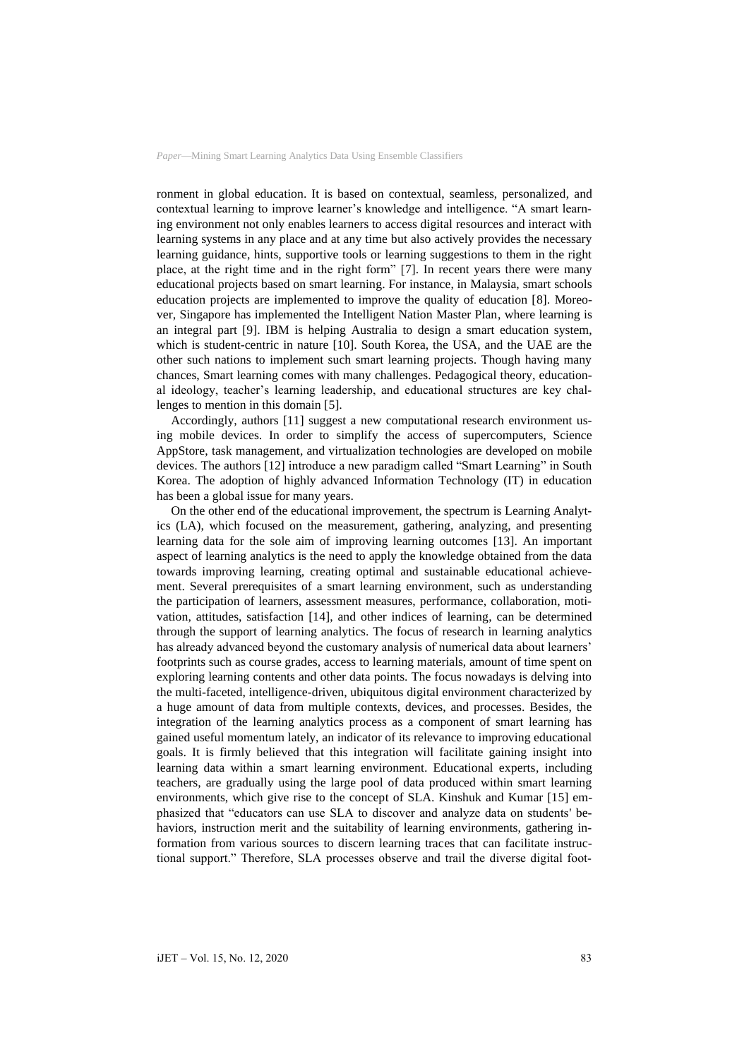ronment in global education. It is based on contextual, seamless, personalized, and contextual learning to improve learner's knowledge and intelligence. "A smart learning environment not only enables learners to access digital resources and interact with learning systems in any place and at any time but also actively provides the necessary learning guidance, hints, supportive tools or learning suggestions to them in the right place, at the right time and in the right form" [7]. In recent years there were many educational projects based on smart learning. For instance, in Malaysia, smart schools education projects are implemented to improve the quality of education [8]. Moreover, Singapore has implemented the Intelligent Nation Master Plan, where learning is an integral part [9]. IBM is helping Australia to design a smart education system, which is student-centric in nature [10]. South Korea, the USA, and the UAE are the other such nations to implement such smart learning projects. Though having many chances, Smart learning comes with many challenges. Pedagogical theory, educational ideology, teacher's learning leadership, and educational structures are key challenges to mention in this domain [5].

Accordingly, authors [11] suggest a new computational research environment using mobile devices. In order to simplify the access of supercomputers, Science AppStore, task management, and virtualization technologies are developed on mobile devices. The authors [12] introduce a new paradigm called "Smart Learning" in South Korea. The adoption of highly advanced Information Technology (IT) in education has been a global issue for many years.

On the other end of the educational improvement, the spectrum is Learning Analytics (LA), which focused on the measurement, gathering, analyzing, and presenting learning data for the sole aim of improving learning outcomes [13]. An important aspect of learning analytics is the need to apply the knowledge obtained from the data towards improving learning, creating optimal and sustainable educational achievement. Several prerequisites of a smart learning environment, such as understanding the participation of learners, assessment measures, performance, collaboration, motivation, attitudes, satisfaction [14], and other indices of learning, can be determined through the support of learning analytics. The focus of research in learning analytics has already advanced beyond the customary analysis of numerical data about learners' footprints such as course grades, access to learning materials, amount of time spent on exploring learning contents and other data points. The focus nowadays is delving into the multi-faceted, intelligence-driven, ubiquitous digital environment characterized by a huge amount of data from multiple contexts, devices, and processes. Besides, the integration of the learning analytics process as a component of smart learning has gained useful momentum lately, an indicator of its relevance to improving educational goals. It is firmly believed that this integration will facilitate gaining insight into learning data within a smart learning environment. Educational experts, including teachers, are gradually using the large pool of data produced within smart learning environments, which give rise to the concept of SLA. Kinshuk and Kumar [15] emphasized that "educators can use SLA to discover and analyze data on students' behaviors, instruction merit and the suitability of learning environments, gathering information from various sources to discern learning traces that can facilitate instructional support." Therefore, SLA processes observe and trail the diverse digital foot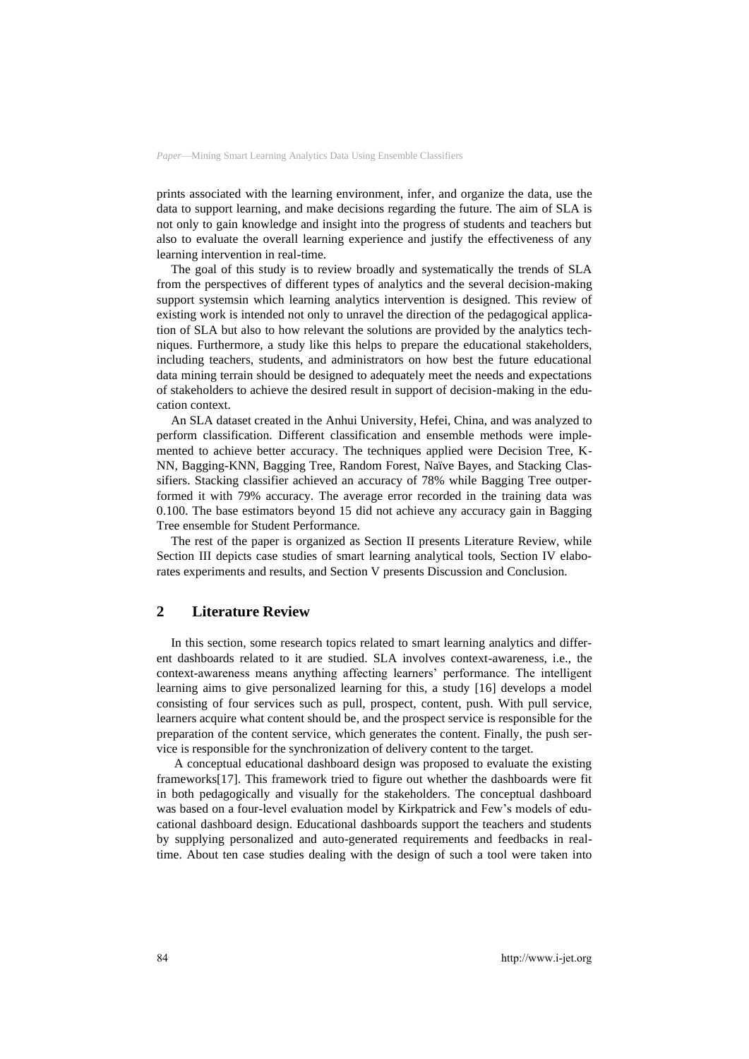prints associated with the learning environment, infer, and organize the data, use the data to support learning, and make decisions regarding the future. The aim of SLA is not only to gain knowledge and insight into the progress of students and teachers but also to evaluate the overall learning experience and justify the effectiveness of any learning intervention in real-time.

The goal of this study is to review broadly and systematically the trends of SLA from the perspectives of different types of analytics and the several decision-making support systemsin which learning analytics intervention is designed. This review of existing work is intended not only to unravel the direction of the pedagogical application of SLA but also to how relevant the solutions are provided by the analytics techniques. Furthermore, a study like this helps to prepare the educational stakeholders, including teachers, students, and administrators on how best the future educational data mining terrain should be designed to adequately meet the needs and expectations of stakeholders to achieve the desired result in support of decision-making in the education context.

An SLA dataset created in the Anhui University, Hefei, China, and was analyzed to perform classification. Different classification and ensemble methods were implemented to achieve better accuracy. The techniques applied were Decision Tree, K-NN, Bagging-KNN, Bagging Tree, Random Forest, Naïve Bayes, and Stacking Classifiers. Stacking classifier achieved an accuracy of 78% while Bagging Tree outperformed it with 79% accuracy. The average error recorded in the training data was 0.100. The base estimators beyond 15 did not achieve any accuracy gain in Bagging Tree ensemble for Student Performance.

The rest of the paper is organized as Section II presents Literature Review, while Section III depicts case studies of smart learning analytical tools, Section IV elaborates experiments and results, and Section V presents Discussion and Conclusion.

### **2 Literature Review**

In this section, some research topics related to smart learning analytics and different dashboards related to it are studied. SLA involves context-awareness, i.e., the context-awareness means anything affecting learners' performance. The intelligent learning aims to give personalized learning for this, a study [16] develops a model consisting of four services such as pull, prospect, content, push. With pull service, learners acquire what content should be, and the prospect service is responsible for the preparation of the content service, which generates the content. Finally, the push service is responsible for the synchronization of delivery content to the target.

A conceptual educational dashboard design was proposed to evaluate the existing frameworks[17]. This framework tried to figure out whether the dashboards were fit in both pedagogically and visually for the stakeholders. The conceptual dashboard was based on a four-level evaluation model by Kirkpatrick and Few's models of educational dashboard design. Educational dashboards support the teachers and students by supplying personalized and auto-generated requirements and feedbacks in realtime. About ten case studies dealing with the design of such a tool were taken into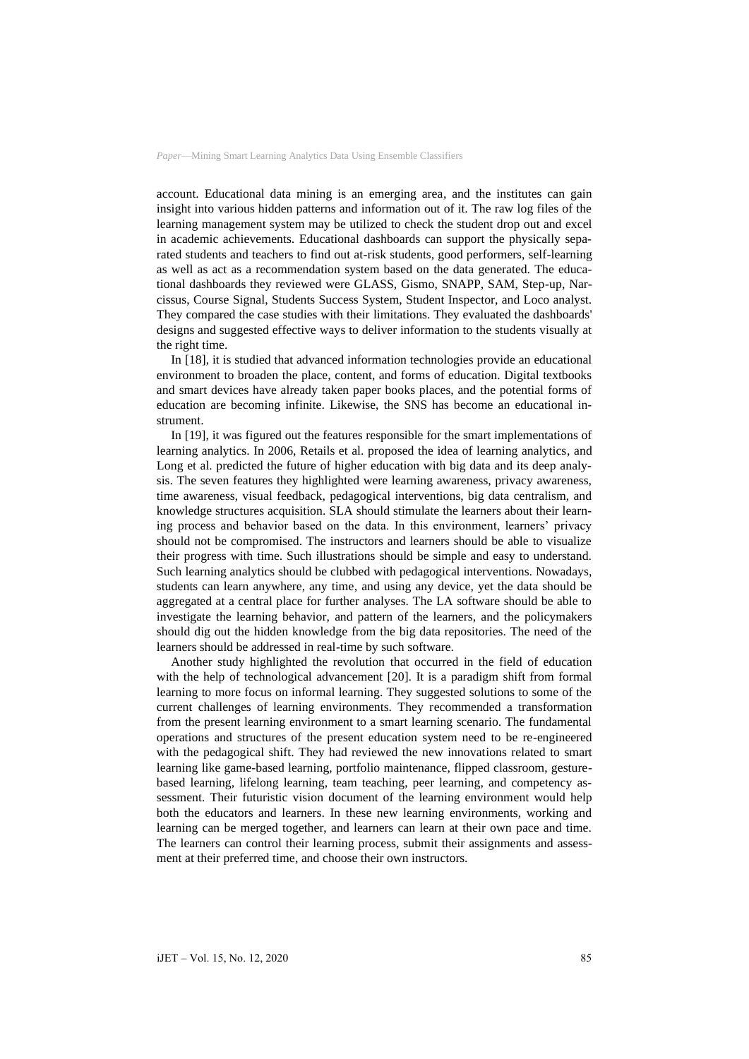account. Educational data mining is an emerging area, and the institutes can gain insight into various hidden patterns and information out of it. The raw log files of the learning management system may be utilized to check the student drop out and excel in academic achievements. Educational dashboards can support the physically separated students and teachers to find out at-risk students, good performers, self-learning as well as act as a recommendation system based on the data generated. The educational dashboards they reviewed were GLASS, Gismo, SNAPP, SAM, Step-up, Narcissus, Course Signal, Students Success System, Student Inspector, and Loco analyst. They compared the case studies with their limitations. They evaluated the dashboards' designs and suggested effective ways to deliver information to the students visually at the right time.

In [18], it is studied that advanced information technologies provide an educational environment to broaden the place, content, and forms of education. Digital textbooks and smart devices have already taken paper books places, and the potential forms of education are becoming infinite. Likewise, the SNS has become an educational instrument.

In [19], it was figured out the features responsible for the smart implementations of learning analytics. In 2006, Retails et al. proposed the idea of learning analytics, and Long et al. predicted the future of higher education with big data and its deep analysis. The seven features they highlighted were learning awareness, privacy awareness, time awareness, visual feedback, pedagogical interventions, big data centralism, and knowledge structures acquisition. SLA should stimulate the learners about their learning process and behavior based on the data. In this environment, learners' privacy should not be compromised. The instructors and learners should be able to visualize their progress with time. Such illustrations should be simple and easy to understand. Such learning analytics should be clubbed with pedagogical interventions. Nowadays, students can learn anywhere, any time, and using any device, yet the data should be aggregated at a central place for further analyses. The LA software should be able to investigate the learning behavior, and pattern of the learners, and the policymakers should dig out the hidden knowledge from the big data repositories. The need of the learners should be addressed in real-time by such software.

Another study highlighted the revolution that occurred in the field of education with the help of technological advancement [20]. It is a paradigm shift from formal learning to more focus on informal learning. They suggested solutions to some of the current challenges of learning environments. They recommended a transformation from the present learning environment to a smart learning scenario. The fundamental operations and structures of the present education system need to be re-engineered with the pedagogical shift. They had reviewed the new innovations related to smart learning like game-based learning, portfolio maintenance, flipped classroom, gesturebased learning, lifelong learning, team teaching, peer learning, and competency assessment. Their futuristic vision document of the learning environment would help both the educators and learners. In these new learning environments, working and learning can be merged together, and learners can learn at their own pace and time. The learners can control their learning process, submit their assignments and assessment at their preferred time, and choose their own instructors.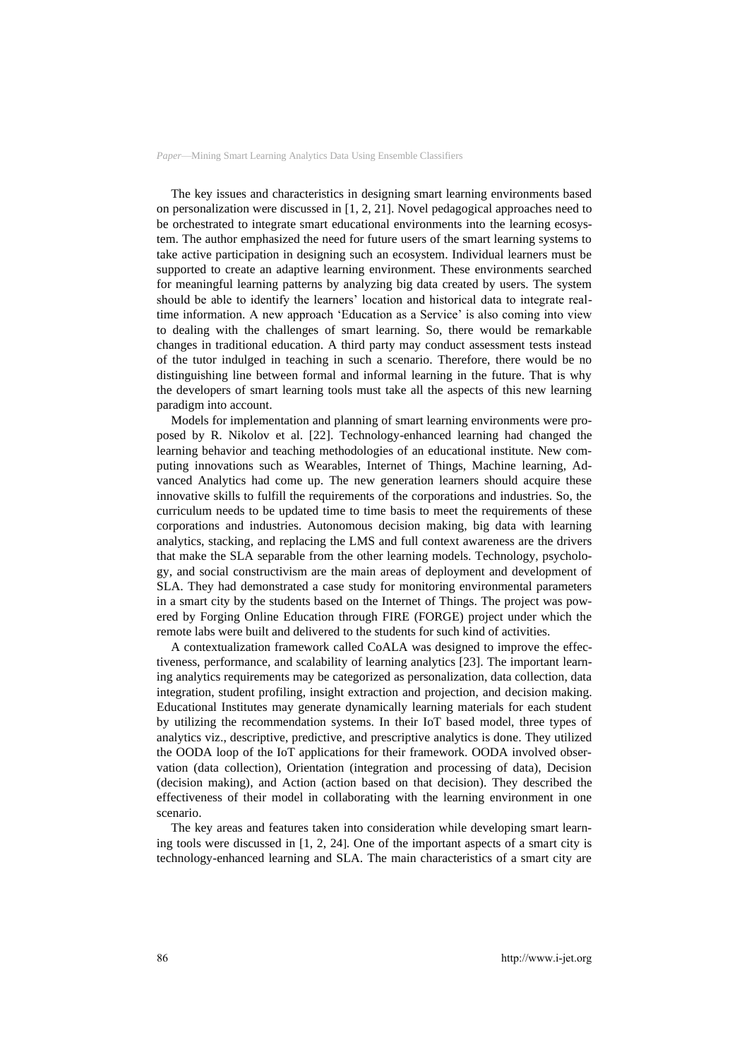The key issues and characteristics in designing smart learning environments based on personalization were discussed in [1, 2, 21]. Novel pedagogical approaches need to be orchestrated to integrate smart educational environments into the learning ecosystem. The author emphasized the need for future users of the smart learning systems to take active participation in designing such an ecosystem. Individual learners must be supported to create an adaptive learning environment. These environments searched for meaningful learning patterns by analyzing big data created by users. The system should be able to identify the learners' location and historical data to integrate realtime information. A new approach 'Education as a Service' is also coming into view to dealing with the challenges of smart learning. So, there would be remarkable changes in traditional education. A third party may conduct assessment tests instead of the tutor indulged in teaching in such a scenario. Therefore, there would be no distinguishing line between formal and informal learning in the future. That is why the developers of smart learning tools must take all the aspects of this new learning paradigm into account.

Models for implementation and planning of smart learning environments were proposed by R. Nikolov et al. [22]. Technology-enhanced learning had changed the learning behavior and teaching methodologies of an educational institute. New computing innovations such as Wearables, Internet of Things, Machine learning, Advanced Analytics had come up. The new generation learners should acquire these innovative skills to fulfill the requirements of the corporations and industries. So, the curriculum needs to be updated time to time basis to meet the requirements of these corporations and industries. Autonomous decision making, big data with learning analytics, stacking, and replacing the LMS and full context awareness are the drivers that make the SLA separable from the other learning models. Technology, psychology, and social constructivism are the main areas of deployment and development of SLA. They had demonstrated a case study for monitoring environmental parameters in a smart city by the students based on the Internet of Things. The project was powered by Forging Online Education through FIRE (FORGE) project under which the remote labs were built and delivered to the students for such kind of activities.

A contextualization framework called CoALA was designed to improve the effectiveness, performance, and scalability of learning analytics [23]. The important learning analytics requirements may be categorized as personalization, data collection, data integration, student profiling, insight extraction and projection, and decision making. Educational Institutes may generate dynamically learning materials for each student by utilizing the recommendation systems. In their IoT based model, three types of analytics viz., descriptive, predictive, and prescriptive analytics is done. They utilized the OODA loop of the IoT applications for their framework. OODA involved observation (data collection), Orientation (integration and processing of data), Decision (decision making), and Action (action based on that decision). They described the effectiveness of their model in collaborating with the learning environment in one scenario.

The key areas and features taken into consideration while developing smart learning tools were discussed in [1, 2, 24]. One of the important aspects of a smart city is technology-enhanced learning and SLA. The main characteristics of a smart city are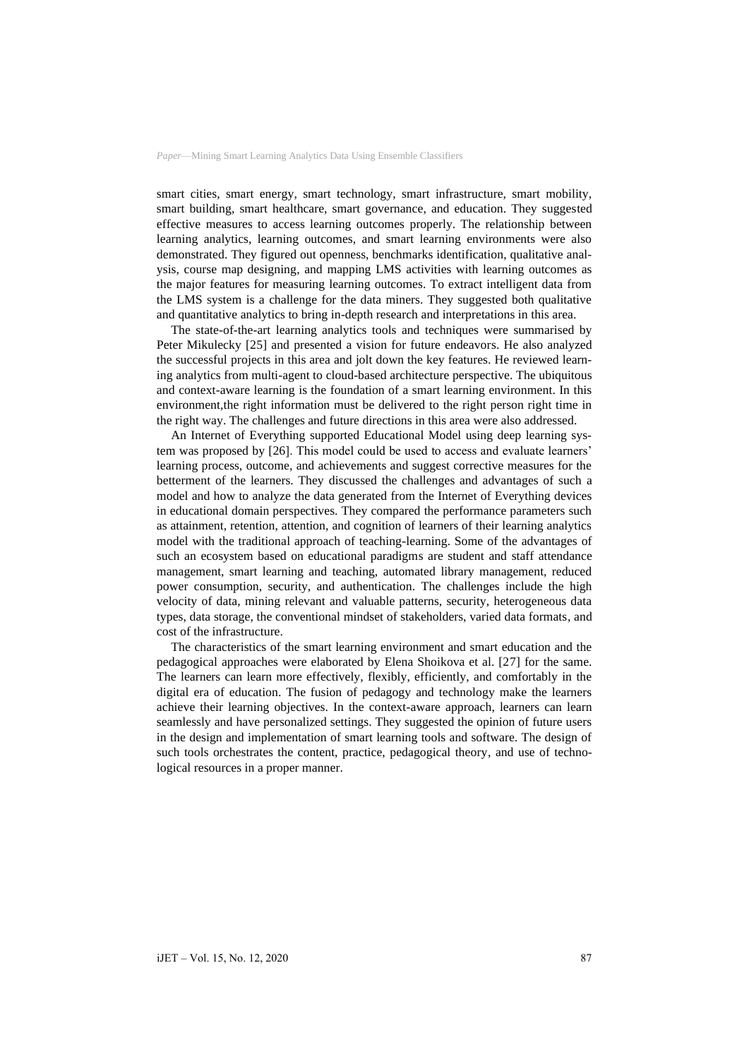smart cities, smart energy, smart technology, smart infrastructure, smart mobility, smart building, smart healthcare, smart governance, and education. They suggested effective measures to access learning outcomes properly. The relationship between learning analytics, learning outcomes, and smart learning environments were also demonstrated. They figured out openness, benchmarks identification, qualitative analysis, course map designing, and mapping LMS activities with learning outcomes as the major features for measuring learning outcomes. To extract intelligent data from the LMS system is a challenge for the data miners. They suggested both qualitative and quantitative analytics to bring in-depth research and interpretations in this area.

The state-of-the-art learning analytics tools and techniques were summarised by Peter Mikulecky [25] and presented a vision for future endeavors. He also analyzed the successful projects in this area and jolt down the key features. He reviewed learning analytics from multi-agent to cloud-based architecture perspective. The ubiquitous and context-aware learning is the foundation of a smart learning environment. In this environment,the right information must be delivered to the right person right time in the right way. The challenges and future directions in this area were also addressed.

An Internet of Everything supported Educational Model using deep learning system was proposed by [26]. This model could be used to access and evaluate learners' learning process, outcome, and achievements and suggest corrective measures for the betterment of the learners. They discussed the challenges and advantages of such a model and how to analyze the data generated from the Internet of Everything devices in educational domain perspectives. They compared the performance parameters such as attainment, retention, attention, and cognition of learners of their learning analytics model with the traditional approach of teaching-learning. Some of the advantages of such an ecosystem based on educational paradigms are student and staff attendance management, smart learning and teaching, automated library management, reduced power consumption, security, and authentication. The challenges include the high velocity of data, mining relevant and valuable patterns, security, heterogeneous data types, data storage, the conventional mindset of stakeholders, varied data formats, and cost of the infrastructure.

The characteristics of the smart learning environment and smart education and the pedagogical approaches were elaborated by Elena Shoikova et al. [27] for the same. The learners can learn more effectively, flexibly, efficiently, and comfortably in the digital era of education. The fusion of pedagogy and technology make the learners achieve their learning objectives. In the context-aware approach, learners can learn seamlessly and have personalized settings. They suggested the opinion of future users in the design and implementation of smart learning tools and software. The design of such tools orchestrates the content, practice, pedagogical theory, and use of technological resources in a proper manner.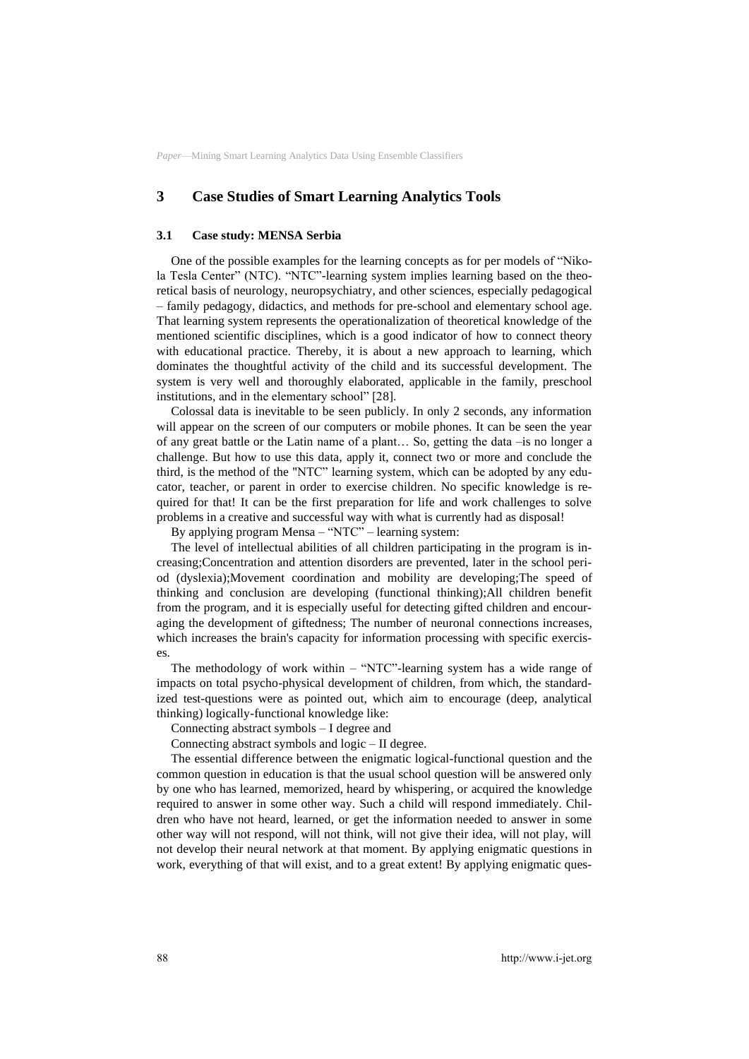# **3 Case Studies of Smart Learning Analytics Tools**

#### **3.1 Case study: MENSA Serbia**

One of the possible examples for the learning concepts as for per models of "Nikola Tesla Center" (NTC). "NTC"-learning system implies learning based on the theoretical basis of neurology, neuropsychiatry, and other sciences, especially pedagogical – family pedagogy, didactics, and methods for pre-school and elementary school age. That learning system represents the operationalization of theoretical knowledge of the mentioned scientific disciplines, which is a good indicator of how to connect theory with educational practice. Thereby, it is about a new approach to learning, which dominates the thoughtful activity of the child and its successful development. The system is very well and thoroughly elaborated, applicable in the family, preschool institutions, and in the elementary school" [28].

Colossal data is inevitable to be seen publicly. In only 2 seconds, any information will appear on the screen of our computers or mobile phones. It can be seen the year of any great battle or the Latin name of a plant… So, getting the data –is no longer a challenge. But how to use this data, apply it, connect two or more and conclude the third, is the method of the "NTC" learning system, which can be adopted by any educator, teacher, or parent in order to exercise children. No specific knowledge is required for that! It can be the first preparation for life and work challenges to solve problems in a creative and successful way with what is currently had as disposal!

By applying program Mensa – "NTC" – learning system:

The level of intellectual abilities of all children participating in the program is increasing;Concentration and attention disorders are prevented, later in the school period (dyslexia);Movement coordination and mobility are developing;The speed of thinking and conclusion are developing (functional thinking);All children benefit from the program, and it is especially useful for detecting gifted children and encouraging the development of giftedness; The number of neuronal connections increases, which increases the brain's capacity for information processing with specific exercises.

The methodology of work within – "NTC"-learning system has a wide range of impacts on total psycho-physical development of children, from which, the standardized test-questions were as pointed out, which aim to encourage (deep, analytical thinking) logically-functional knowledge like:

Connecting abstract symbols – I degree and

Connecting abstract symbols and logic – II degree.

The essential difference between the enigmatic logical-functional question and the common question in education is that the usual school question will be answered only by one who has learned, memorized, heard by whispering, or acquired the knowledge required to answer in some other way. Such a child will respond immediately. Children who have not heard, learned, or get the information needed to answer in some other way will not respond, will not think, will not give their idea, will not play, will not develop their neural network at that moment. By applying enigmatic questions in work, everything of that will exist, and to a great extent! By applying enigmatic ques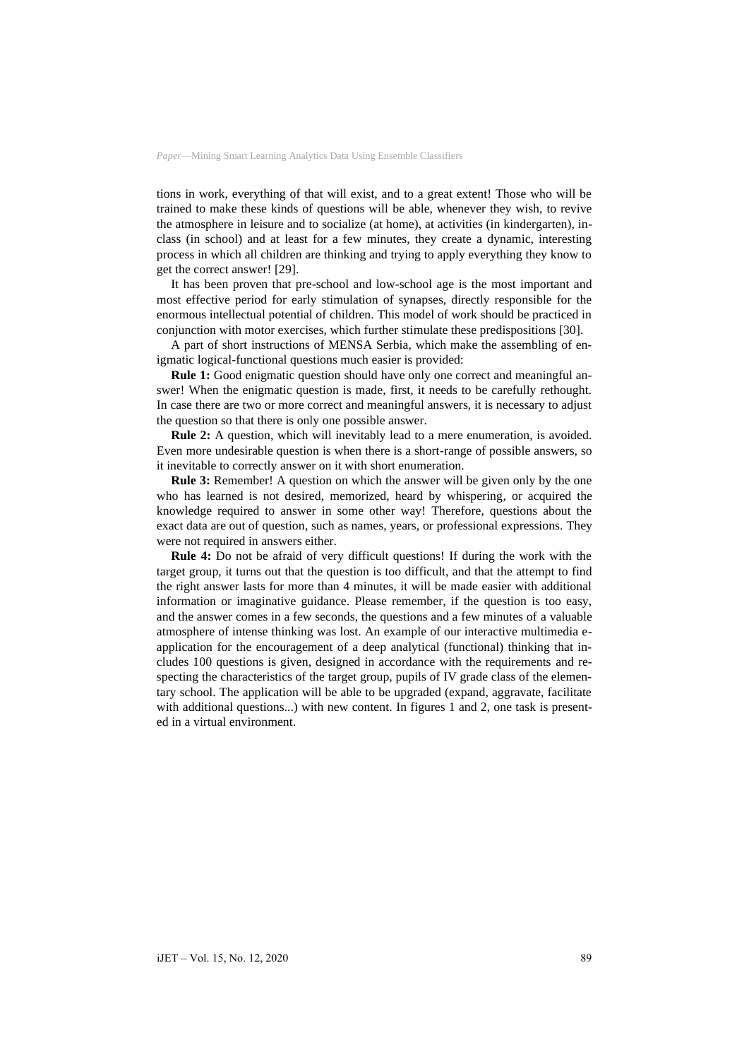tions in work, everything of that will exist, and to a great extent! Those who will be trained to make these kinds of questions will be able, whenever they wish, to revive the atmosphere in leisure and to socialize (at home), at activities (in kindergarten), inclass (in school) and at least for a few minutes, they create a dynamic, interesting process in which all children are thinking and trying to apply everything they know to get the correct answer! [29].

It has been proven that pre-school and low-school age is the most important and most effective period for early stimulation of synapses, directly responsible for the enormous intellectual potential of children. This model of work should be practiced in conjunction with motor exercises, which further stimulate these predispositions [30].

A part of short instructions of MENSA Serbia, which make the assembling of enigmatic logical-functional questions much easier is provided:

**Rule 1:** Good enigmatic question should have only one correct and meaningful answer! When the enigmatic question is made, first, it needs to be carefully rethought. In case there are two or more correct and meaningful answers, it is necessary to adjust the question so that there is only one possible answer.

**Rule 2:** A question, which will inevitably lead to a mere enumeration, is avoided. Even more undesirable question is when there is a short-range of possible answers, so it inevitable to correctly answer on it with short enumeration.

**Rule 3:** Remember! A question on which the answer will be given only by the one who has learned is not desired, memorized, heard by whispering, or acquired the knowledge required to answer in some other way! Therefore, questions about the exact data are out of question, such as names, years, or professional expressions. They were not required in answers either.

**Rule 4:** Do not be afraid of very difficult questions! If during the work with the target group, it turns out that the question is too difficult, and that the attempt to find the right answer lasts for more than 4 minutes, it will be made easier with additional information or imaginative guidance. Please remember, if the question is too easy, and the answer comes in a few seconds, the questions and a few minutes of a valuable atmosphere of intense thinking was lost. An example of our interactive multimedia eapplication for the encouragement of a deep analytical (functional) thinking that includes 100 questions is given, designed in accordance with the requirements and respecting the characteristics of the target group, pupils of IV grade class of the elementary school. The application will be able to be upgraded (expand, aggravate, facilitate with additional questions...) with new content. In figures 1 and 2, one task is presented in a virtual environment.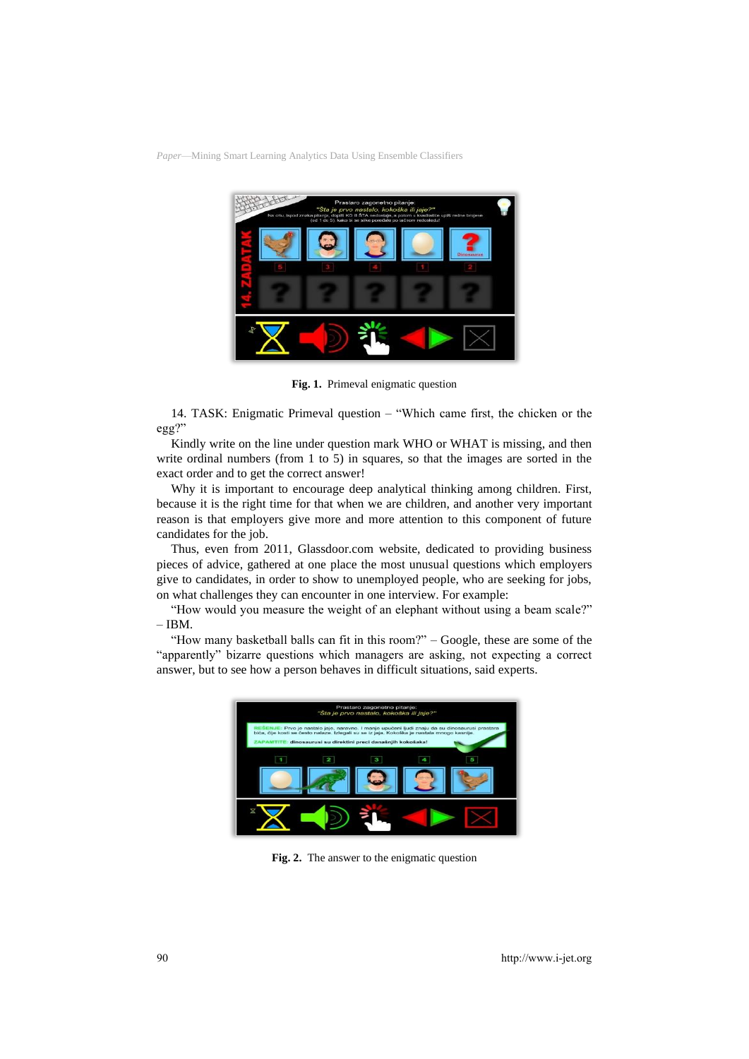

**Fig. 1.** Primeval enigmatic question

14. TASK: Enigmatic Primeval question – "Which came first, the chicken or the egg?"

Kindly write on the line under question mark WHO or WHAT is missing, and then write ordinal numbers (from 1 to 5) in squares, so that the images are sorted in the exact order and to get the correct answer!

Why it is important to encourage deep analytical thinking among children. First, because it is the right time for that when we are children, and another very important reason is that employers give more and more attention to this component of future candidates for the job.

Thus, even from 2011, Glassdoor.com website, dedicated to providing business pieces of advice, gathered at one place the most unusual questions which employers give to candidates, in order to show to unemployed people, who are seeking for jobs, on what challenges they can encounter in one interview. For example:

"How would you measure the weight of an elephant without using a beam scale?"  $-$  IBM.

"How many basketball balls can fit in this room?" – Google, these are some of the "apparently" bizarre questions which managers are asking, not expecting a correct answer, but to see how a person behaves in difficult situations, said experts.



**Fig. 2.** The answer to the enigmatic question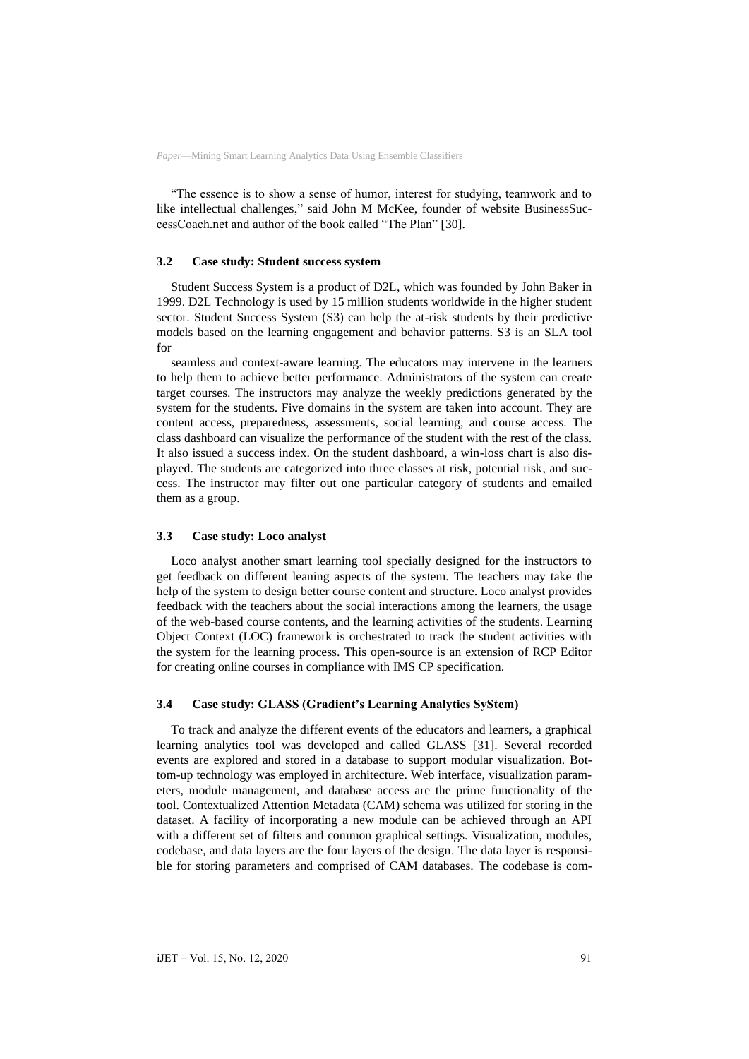"The essence is to show a sense of humor, interest for studying, teamwork and to like intellectual challenges," said John M McKee, founder of website BusinessSuccessCoach.net and author of the book called "The Plan" [30].

#### **3.2 Case study: Student success system**

Student Success System is a product of D2L, which was founded by John Baker in 1999. D2L Technology is used by 15 million students worldwide in the higher student sector. Student Success System (S3) can help the at-risk students by their predictive models based on the learning engagement and behavior patterns. S3 is an SLA tool for

seamless and context-aware learning. The educators may intervene in the learners to help them to achieve better performance. Administrators of the system can create target courses. The instructors may analyze the weekly predictions generated by the system for the students. Five domains in the system are taken into account. They are content access, preparedness, assessments, social learning, and course access. The class dashboard can visualize the performance of the student with the rest of the class. It also issued a success index. On the student dashboard, a win-loss chart is also displayed. The students are categorized into three classes at risk, potential risk, and success. The instructor may filter out one particular category of students and emailed them as a group.

#### **3.3 Case study: Loco analyst**

Loco analyst another smart learning tool specially designed for the instructors to get feedback on different leaning aspects of the system. The teachers may take the help of the system to design better course content and structure. Loco analyst provides feedback with the teachers about the social interactions among the learners, the usage of the web-based course contents, and the learning activities of the students. Learning Object Context (LOC) framework is orchestrated to track the student activities with the system for the learning process. This open-source is an extension of RCP Editor for creating online courses in compliance with IMS CP specification.

#### **3.4 Case study: GLASS (Gradient's Learning Analytics SyStem)**

To track and analyze the different events of the educators and learners, a graphical learning analytics tool was developed and called GLASS [31]. Several recorded events are explored and stored in a database to support modular visualization. Bottom-up technology was employed in architecture. Web interface, visualization parameters, module management, and database access are the prime functionality of the tool. Contextualized Attention Metadata (CAM) schema was utilized for storing in the dataset. A facility of incorporating a new module can be achieved through an API with a different set of filters and common graphical settings. Visualization, modules, codebase, and data layers are the four layers of the design. The data layer is responsible for storing parameters and comprised of CAM databases. The codebase is com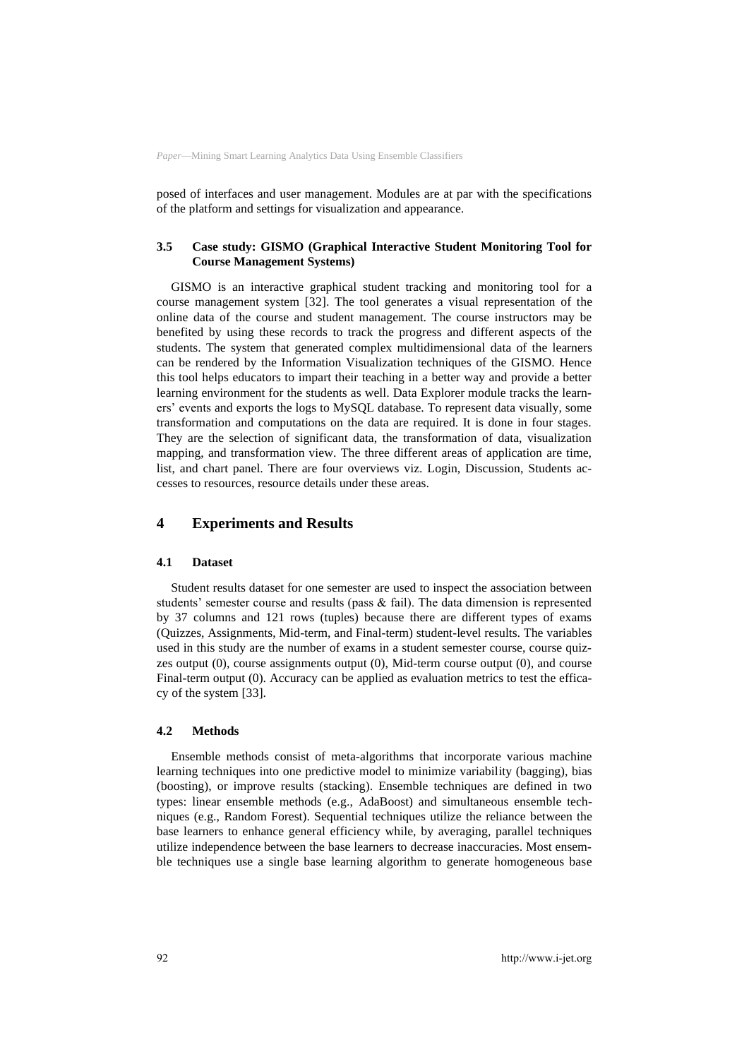posed of interfaces and user management. Modules are at par with the specifications of the platform and settings for visualization and appearance.

### **3.5 Case study: GISMO (Graphical Interactive Student Monitoring Tool for Course Management Systems)**

GISMO is an interactive graphical student tracking and monitoring tool for a course management system [32]. The tool generates a visual representation of the online data of the course and student management. The course instructors may be benefited by using these records to track the progress and different aspects of the students. The system that generated complex multidimensional data of the learners can be rendered by the Information Visualization techniques of the GISMO. Hence this tool helps educators to impart their teaching in a better way and provide a better learning environment for the students as well. Data Explorer module tracks the learners' events and exports the logs to MySQL database. To represent data visually, some transformation and computations on the data are required. It is done in four stages. They are the selection of significant data, the transformation of data, visualization mapping, and transformation view. The three different areas of application are time, list, and chart panel. There are four overviews viz. Login, Discussion, Students accesses to resources, resource details under these areas.

### **4 Experiments and Results**

### **4.1 Dataset**

Student results dataset for one semester are used to inspect the association between students' semester course and results (pass  $\&$  fail). The data dimension is represented by 37 columns and 121 rows (tuples) because there are different types of exams (Quizzes, Assignments, Mid-term, and Final-term) student-level results. The variables used in this study are the number of exams in a student semester course, course quizzes output (0), course assignments output (0), Mid-term course output (0), and course Final-term output (0). Accuracy can be applied as evaluation metrics to test the efficacy of the system [33].

#### **4.2 Methods**

Ensemble methods consist of meta-algorithms that incorporate various machine learning techniques into one predictive model to minimize variability (bagging), bias (boosting), or improve results (stacking). Ensemble techniques are defined in two types: linear ensemble methods (e.g., AdaBoost) and simultaneous ensemble techniques (e.g., Random Forest). Sequential techniques utilize the reliance between the base learners to enhance general efficiency while, by averaging, parallel techniques utilize independence between the base learners to decrease inaccuracies. Most ensemble techniques use a single base learning algorithm to generate homogeneous base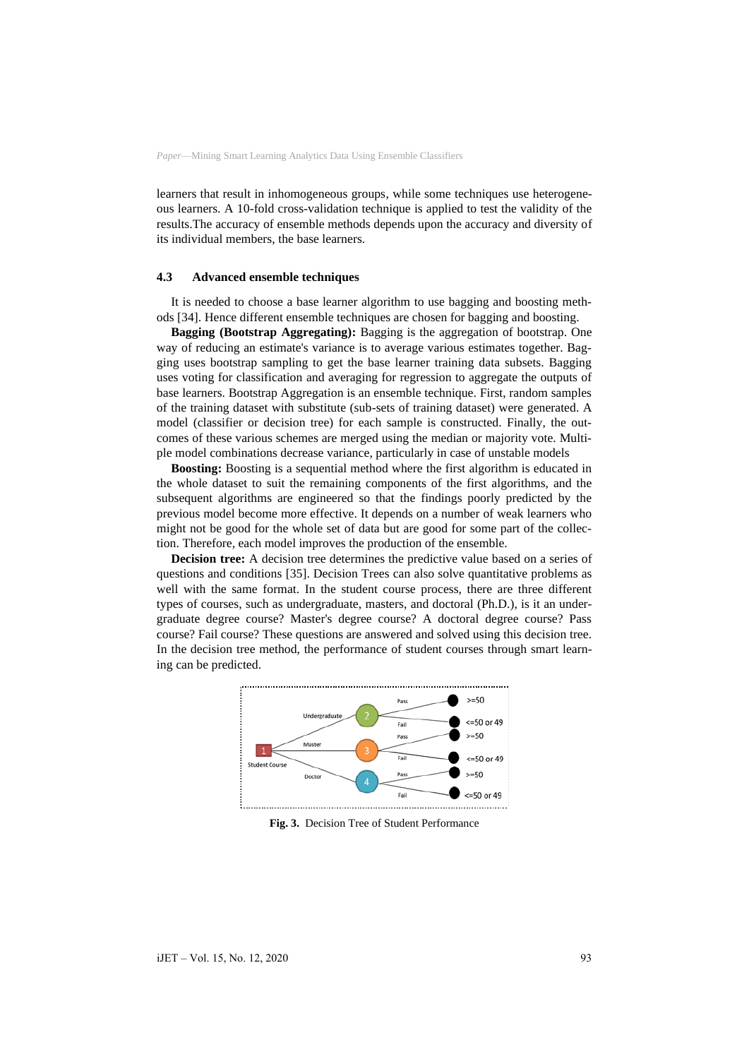learners that result in inhomogeneous groups, while some techniques use heterogeneous learners. A 10-fold cross-validation technique is applied to test the validity of the results.The accuracy of ensemble methods depends upon the accuracy and diversity of its individual members, the base learners.

#### **4.3 Advanced ensemble techniques**

It is needed to choose a base learner algorithm to use bagging and boosting methods [34]. Hence different ensemble techniques are chosen for bagging and boosting.

**Bagging (Bootstrap Aggregating):** Bagging is the aggregation of bootstrap. One way of reducing an estimate's variance is to average various estimates together. Bagging uses bootstrap sampling to get the base learner training data subsets. Bagging uses voting for classification and averaging for regression to aggregate the outputs of base learners. Bootstrap Aggregation is an ensemble technique. First, random samples of the training dataset with substitute (sub-sets of training dataset) were generated. A model (classifier or decision tree) for each sample is constructed. Finally, the outcomes of these various schemes are merged using the median or majority vote. Multiple model combinations decrease variance, particularly in case of unstable models

**Boosting:** Boosting is a sequential method where the first algorithm is educated in the whole dataset to suit the remaining components of the first algorithms, and the subsequent algorithms are engineered so that the findings poorly predicted by the previous model become more effective. It depends on a number of weak learners who might not be good for the whole set of data but are good for some part of the collection. Therefore, each model improves the production of the ensemble.

**Decision tree:** A decision tree determines the predictive value based on a series of questions and conditions [35]. Decision Trees can also solve quantitative problems as well with the same format. In the student course process, there are three different types of courses, such as undergraduate, masters, and doctoral (Ph.D.), is it an undergraduate degree course? Master's degree course? A doctoral degree course? Pass course? Fail course? These questions are answered and solved using this decision tree. In the decision tree method, the performance of student courses through smart learning can be predicted.



**Fig. 3.** Decision Tree of Student Performance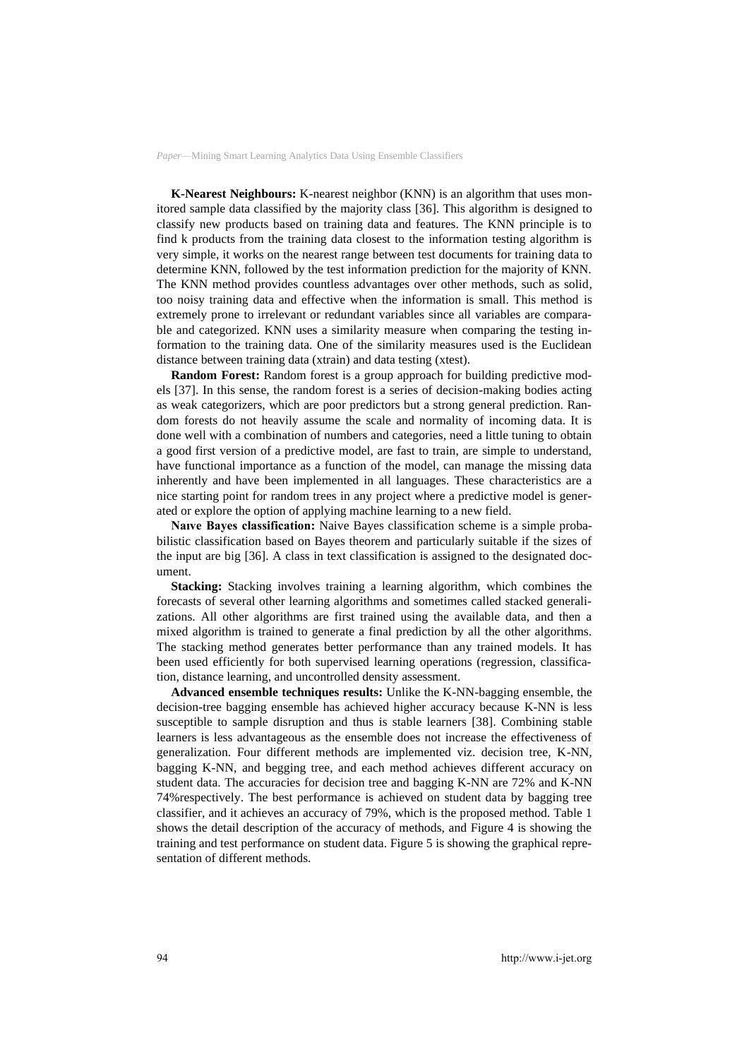**K-Nearest Neighbours:** K-nearest neighbor (KNN) is an algorithm that uses monitored sample data classified by the majority class [36]. This algorithm is designed to classify new products based on training data and features. The KNN principle is to find k products from the training data closest to the information testing algorithm is very simple, it works on the nearest range between test documents for training data to determine KNN, followed by the test information prediction for the majority of KNN. The KNN method provides countless advantages over other methods, such as solid, too noisy training data and effective when the information is small. This method is extremely prone to irrelevant or redundant variables since all variables are comparable and categorized. KNN uses a similarity measure when comparing the testing information to the training data. One of the similarity measures used is the Euclidean distance between training data (xtrain) and data testing (xtest).

**[Random Forest:](https://www.datascience.com/resources/notebooks/random-forest-intro)** Random forest is a group approach for building predictive models [37]. In this sense, the random forest is a series of decision-making bodies acting as weak categorizers, which are poor predictors but a strong general prediction. Random forests do not heavily assume the scale and normality of incoming data. It is done well with a combination of numbers and categories, need a little tuning to obtain a good first version of a predictive model, are fast to train, are simple to understand, have functional importance as a function of the model, can manage the missing data inherently and have been implemented in all languages. These characteristics are a nice starting point for random trees in any project where a predictive model is generated or explore the option of applying machine learning to a new field.

**Naıve Bayes classification:** Naive Bayes classification scheme is a simple probabilistic classification based on Bayes theorem and particularly suitable if the sizes of the input are big [36]. A class in text classification is assigned to the designated document.

**Stacking:** Stacking involves training a learning algorithm, which combines the forecasts of several other learning algorithms and sometimes called stacked generalizations. All other algorithms are first trained using the available data, and then a mixed algorithm is trained to generate a final prediction by all the other algorithms. The stacking method generates better performance than any trained models. It has been used efficiently for both supervised learning operations (regression, classification, distance learning, and uncontrolled density assessment.

**Advanced ensemble techniques results:** Unlike the K-NN-bagging ensemble, the decision-tree bagging ensemble has achieved higher accuracy because K-NN is less susceptible to sample disruption and thus is stable learners [38]. Combining stable learners is less advantageous as the ensemble does not increase the effectiveness of generalization. Four different methods are implemented viz. decision tree, K-NN, bagging K-NN, and begging tree, and each method achieves different accuracy on student data. The accuracies for decision tree and bagging K-NN are 72% and K-NN 74%respectively. The best performance is achieved on student data by bagging tree classifier, and it achieves an accuracy of 79%, which is the proposed method. Table 1 shows the detail description of the accuracy of methods, and Figure 4 is showing the training and test performance on student data. Figure 5 is showing the graphical representation of different methods.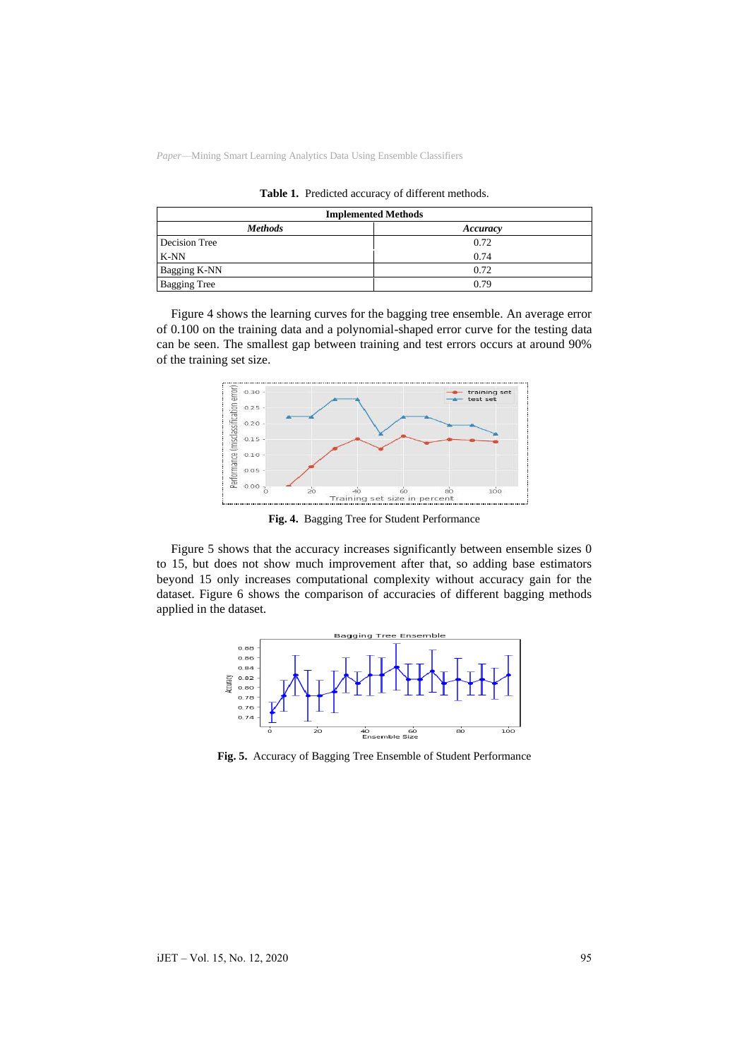| <b>Implemented Methods</b> |          |
|----------------------------|----------|
| <b>Methods</b>             | Accuracy |
| Decision Tree              | 0.72     |
| K-NN                       | 0.74     |
| Bagging K-NN               | 0.72     |
| <b>Bagging Tree</b>        | 0.79     |

**Table 1.** Predicted accuracy of different methods.

Figure 4 shows the learning curves for the bagging tree ensemble. An average error of 0.100 on the training data and a polynomial-shaped error curve for the testing data can be seen. The smallest gap between training and test errors occurs at around 90% of the training set size.



**Fig. 4.** Bagging Tree for Student Performance

Figure 5 shows that the accuracy increases significantly between ensemble sizes 0 to 15, but does not show much improvement after that, so adding base estimators beyond 15 only increases computational complexity without accuracy gain for the dataset. Figure 6 shows the comparison of accuracies of different bagging methods applied in the dataset.



**Fig. 5.** Accuracy of Bagging Tree Ensemble of Student Performance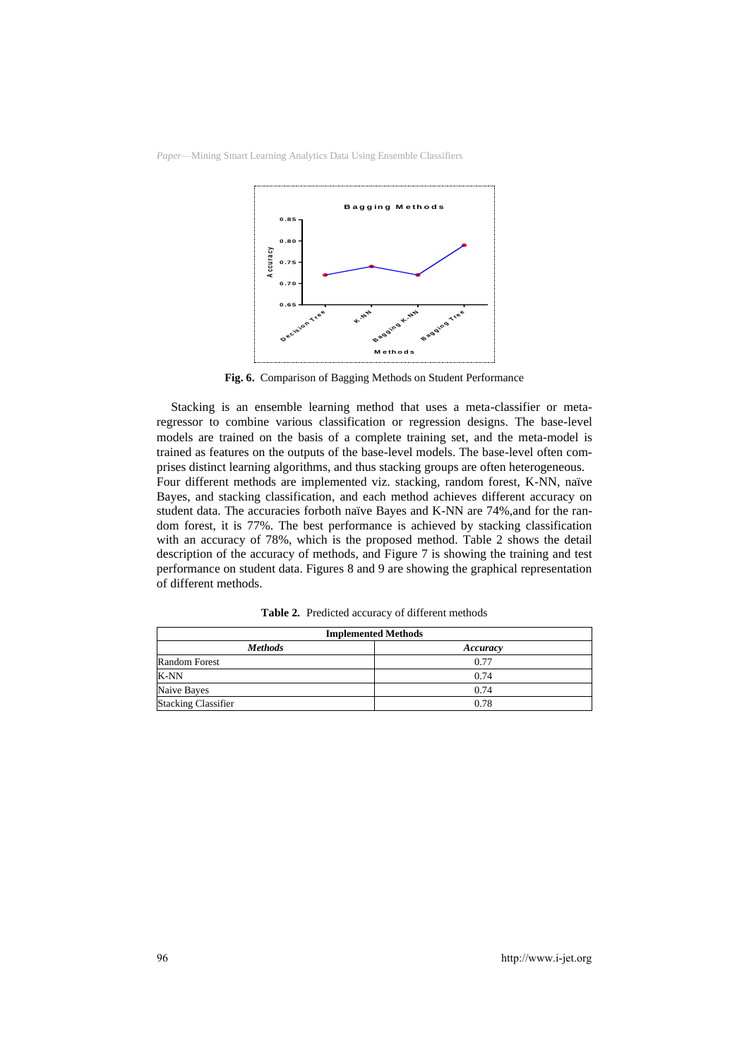



**Fig. 6.** Comparison of Bagging Methods on Student Performance

Stacking is an ensemble learning method that uses a meta-classifier or metaregressor to combine various classification or regression designs. The base-level models are trained on the basis of a complete training set, and the meta-model is trained as features on the outputs of the base-level models. The base-level often comprises distinct learning algorithms, and thus stacking groups are often heterogeneous. Four different methods are implemented viz. stacking, random forest, K-NN, naïve Bayes, and stacking classification, and each method achieves different accuracy on student data. The accuracies forboth naïve Bayes and K-NN are 74%,and for the random forest, it is 77%. The best performance is achieved by stacking classification with an accuracy of 78%, which is the proposed method. Table 2 shows the detail description of the accuracy of methods, and Figure 7 is showing the training and test performance on student data. Figures 8 and 9 are showing the graphical representation of different methods.

| <b>Implemented Methods</b> |          |
|----------------------------|----------|
| <b>Methods</b>             | Accuracy |
| <b>Random Forest</b>       | 0.77     |
| <b>K-NN</b>                | 0.74     |
| Naive Bayes                | 0.74     |
| <b>Stacking Classifier</b> | 0.78     |

**Table 2.** Predicted accuracy of different methods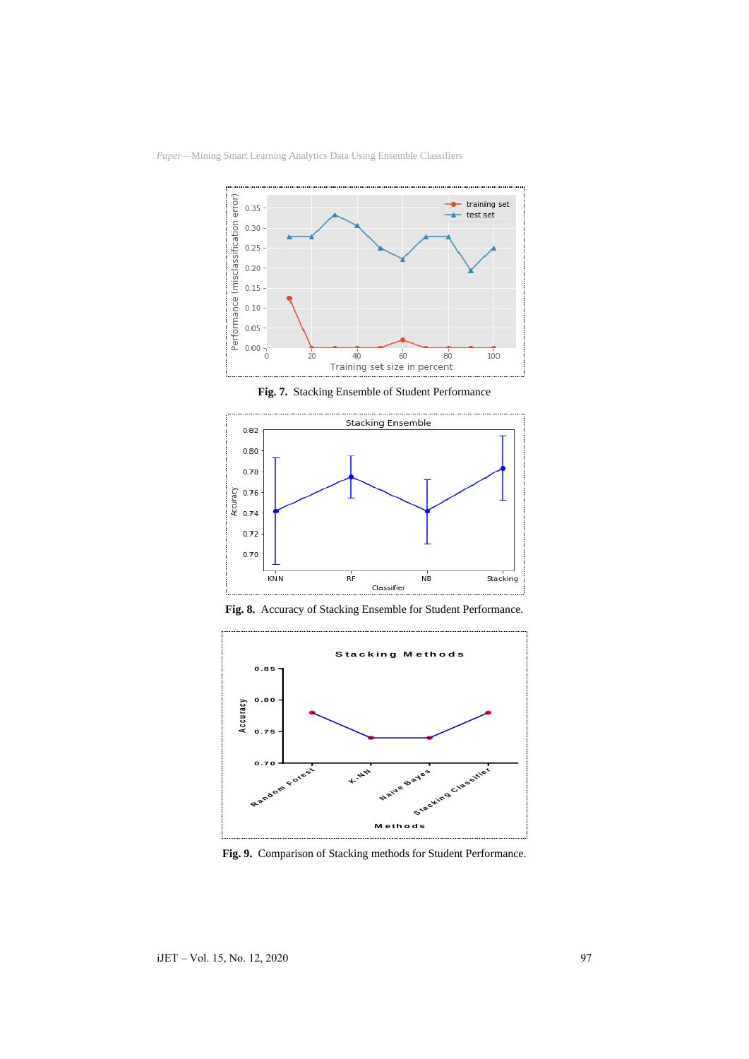

**Fig. 7.** Stacking Ensemble of Student Performance





**Fig. 9.** Comparison of Stacking methods for Student Performance.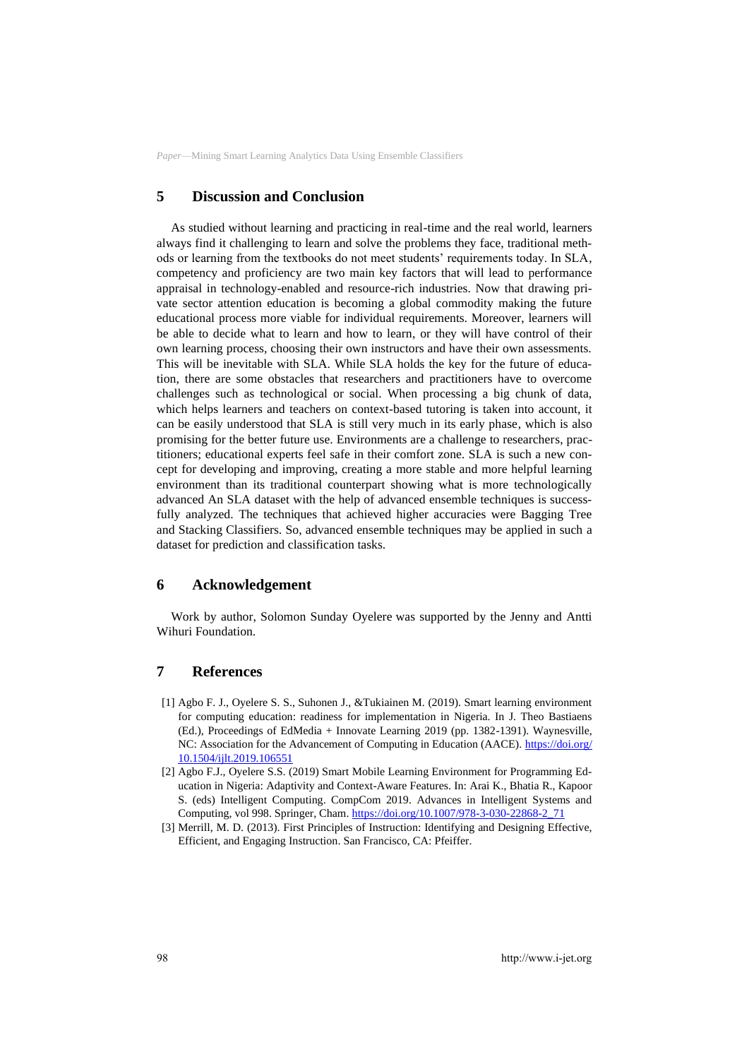# **5 Discussion and Conclusion**

As studied without learning and practicing in real-time and the real world, learners always find it challenging to learn and solve the problems they face, traditional methods or learning from the textbooks do not meet students' requirements today. In SLA, competency and proficiency are two main key factors that will lead to performance appraisal in technology-enabled and resource-rich industries. Now that drawing private sector attention education is becoming a global commodity making the future educational process more viable for individual requirements. Moreover, learners will be able to decide what to learn and how to learn, or they will have control of their own learning process, choosing their own instructors and have their own assessments. This will be inevitable with SLA. While SLA holds the key for the future of education, there are some obstacles that researchers and practitioners have to overcome challenges such as technological or social. When processing a big chunk of data, which helps learners and teachers on context-based tutoring is taken into account, it can be easily understood that SLA is still very much in its early phase, which is also promising for the better future use. Environments are a challenge to researchers, practitioners; educational experts feel safe in their comfort zone. SLA is such a new concept for developing and improving, creating a more stable and more helpful learning environment than its traditional counterpart showing what is more technologically advanced An SLA dataset with the help of advanced ensemble techniques is successfully analyzed. The techniques that achieved higher accuracies were Bagging Tree and Stacking Classifiers. So, advanced ensemble techniques may be applied in such a dataset for prediction and classification tasks.

### **6 Acknowledgement**

Work by author, Solomon Sunday Oyelere was supported by the Jenny and Antti Wihuri Foundation.

# **7 References**

- [1] Agbo F. J., Oyelere S. S., Suhonen J., &Tukiainen M. (2019). Smart learning environment for computing education: readiness for implementation in Nigeria. In J. Theo Bastiaens (Ed.), Proceedings of EdMedia + Innovate Learning 2019 (pp. 1382-1391). Waynesville, NC: Association for the Advancement of Computing in Education (AACE). [https://doi.org/](https://doi.org/10.1504/ijlt.2019.106551) [10.1504/ijlt.2019.106551](https://doi.org/10.1504/ijlt.2019.106551)
- [2] Agbo F.J., Oyelere S.S. (2019) Smart Mobile Learning Environment for Programming Education in Nigeria: Adaptivity and Context-Aware Features. In: Arai K., Bhatia R., Kapoor S. (eds) Intelligent Computing. CompCom 2019. Advances in Intelligent Systems and Computing, vol 998. Springer, Cham. [https://doi.org/10.1007/978-3-030-22868-2\\_71](https://doi.org/10.1007/978-3-030-22868-2_71)
- [3] Merrill, M. D. (2013). First Principles of Instruction: Identifying and Designing Effective, Efficient, and Engaging Instruction. San Francisco, CA: Pfeiffer.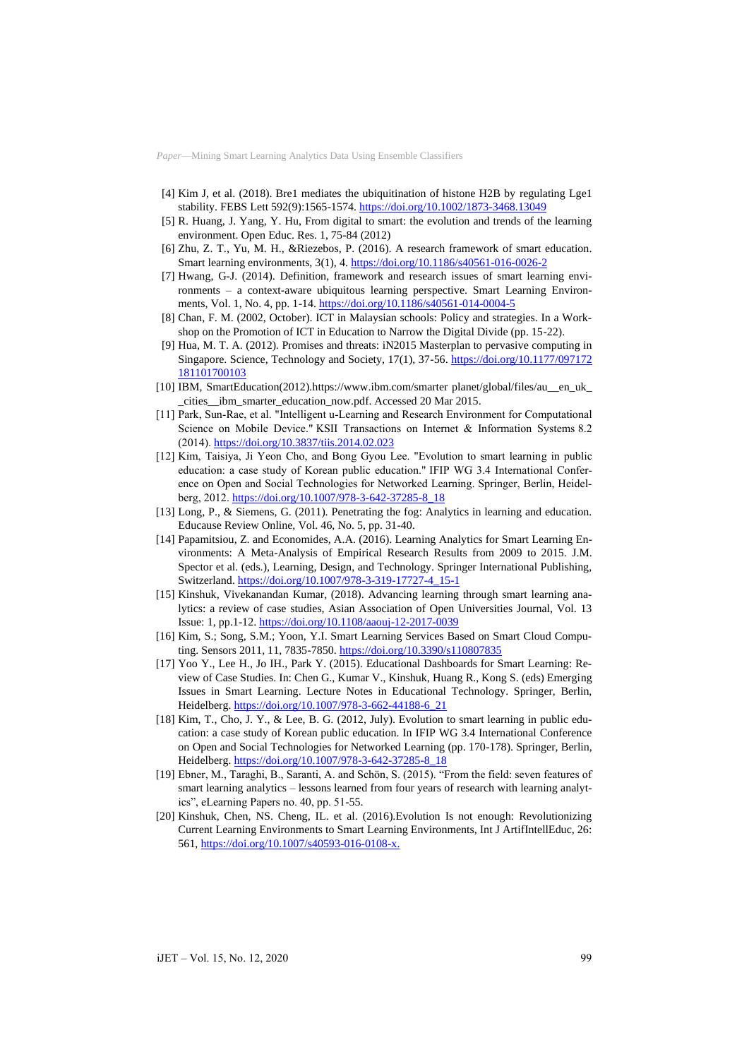- [4] Kim J, et al. (2018). Bre1 mediates the ubiquitination of histone H2B by regulating Lge1 stability. FEBS Lett 592(9):1565-1574[. https://doi.org/10.1002/1873-3468.13049](https://doi.org/10.1002/1873-3468.13049)
- [5] R. Huang, J. Yang, Y. Hu, From digital to smart: the evolution and trends of the learning environment. Open Educ. Res. 1, 75-84 (2012)
- [6] Zhu, Z. T., Yu, M. H., &Riezebos, P. (2016). A research framework of smart education. Smart learning environments, 3(1), 4. <https://doi.org/10.1186/s40561-016-0026-2>
- [7] Hwang, G-J. (2014). Definition, framework and research issues of smart learning environments – a context-aware ubiquitous learning perspective. Smart Learning Environments, Vol. 1, No. 4, pp. 1-14. <https://doi.org/10.1186/s40561-014-0004-5>
- [8] Chan, F. M. (2002, October). ICT in Malaysian schools: Policy and strategies. In a Workshop on the Promotion of ICT in Education to Narrow the Digital Divide (pp. 15-22).
- [9] Hua, M. T. A. (2012). Promises and threats: iN2015 Masterplan to pervasive computing in Singapore. Science, Technology and Society, 17(1), 37-56. [https://doi.org/10.1177/097172](https://doi.org/10.1177/097172181101700103) [181101700103](https://doi.org/10.1177/097172181101700103)
- [10] IBM, SmartEducation(2012).https://www.ibm.com/smarter planet/global/files/au\_\_en\_uk\_ \_cities\_\_ibm\_smarter\_education\_now.pdf. Accessed 20 Mar 2015.
- [11] Park, Sun-Rae, et al. "Intelligent u-Learning and Research Environment for Computational Science on Mobile Device." KSII Transactions on Internet & Information Systems 8.2 (2014). <https://doi.org/10.3837/tiis.2014.02.023>
- [12] Kim, Taisiya, Ji Yeon Cho, and Bong Gyou Lee. "Evolution to smart learning in public education: a case study of Korean public education." IFIP WG 3.4 International Conference on Open and Social Technologies for Networked Learning. Springer, Berlin, Heidelberg, 2012. [https://doi.org/10.1007/978-3-642-37285-8\\_18](https://doi.org/10.1007/978-3-642-37285-8_18)
- [13] Long, P., & Siemens, G. (2011). Penetrating the fog: Analytics in learning and education. Educause Review Online, Vol. 46, No. 5, pp. 31-40.
- [14] Papamitsiou, Z. and Economides, A.A. (2016). Learning Analytics for Smart Learning Environments: A Meta-Analysis of Empirical Research Results from 2009 to 2015. J.M. Spector et al. (eds.), Learning, Design, and Technology. Springer International Publishing, Switzerland. [https://doi.org/10.1007/978-3-319-17727-4\\_15-1](https://doi.org/10.1007/978-3-319-17727-4_15-1)
- [15] Kinshuk, Vivekanandan Kumar, (2018). Advancing learning through smart learning analytics: a review of case studies, Asian Association of Open Universities Journal, Vol. 13 Issue: 1, pp.1-12. <https://doi.org/10.1108/aaouj-12-2017-0039>
- [16] Kim, S.; Song, S.M.; Yoon, Y.I. Smart Learning Services Based on Smart Cloud Computing. Sensors 2011, 11, 7835-7850. <https://doi.org/10.3390/s110807835>
- [17] Yoo Y., Lee H., Jo IH., Park Y. (2015). Educational Dashboards for Smart Learning: Review of Case Studies. In: Chen G., Kumar V., Kinshuk, Huang R., Kong S. (eds) Emerging Issues in Smart Learning. Lecture Notes in Educational Technology. Springer, Berlin, Heidelberg. [https://doi.org/10.1007/978-3-662-44188-6\\_21](https://doi.org/10.1007/978-3-662-44188-6_21)
- [18] Kim, T., Cho, J. Y., & Lee, B. G. (2012, July). Evolution to smart learning in public education: a case study of Korean public education. In IFIP WG 3.4 International Conference on Open and Social Technologies for Networked Learning (pp. 170-178). Springer, Berlin, Heidelberg. [https://doi.org/10.1007/978-3-642-37285-8\\_18](https://doi.org/10.1007/978-3-642-37285-8_18)
- [19] Ebner, M., Taraghi, B., Saranti, A. and Schön, S. (2015). "From the field: seven features of smart learning analytics – lessons learned from four years of research with learning analytics", eLearning Papers no. 40, pp. 51-55.
- [20] Kinshuk, Chen, NS. Cheng, IL. et al. (2016).Evolution Is not enough: Revolutionizing Current Learning Environments to Smart Learning Environments, Int J ArtifIntellEduc, 26: 561[, https://doi.org/10.1007/s40593-016-0108-x.](https://doi.org/10.1007/s40593-016-0108-x)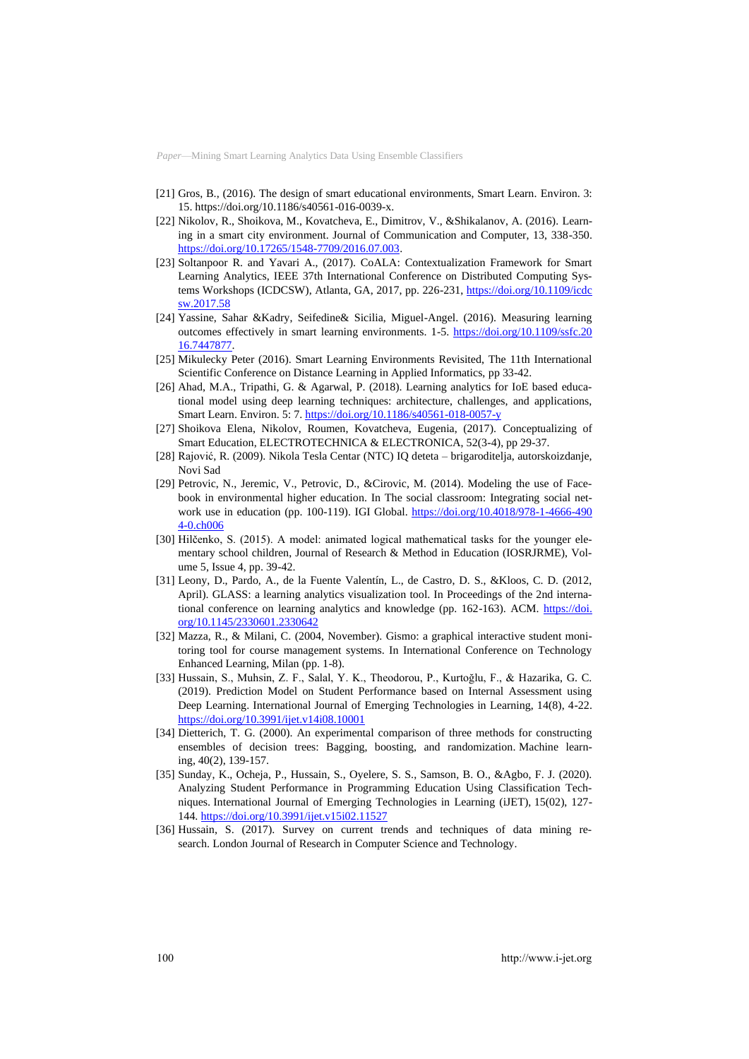- [21] Gros, B., (2016). The design of smart educational environments, Smart Learn. Environ. 3: 15. https://doi.org/10.1186/s40561-016-0039-x.
- [22] Nikolov, R., Shoikova, M., Kovatcheva, E., Dimitrov, V., &Shikalanov, A. (2016). Learning in a smart city environment. Journal of Communication and Computer, 13, 338-350. [https://doi.org/10.17265/1548-7709/2016.07.003.](https://doi.org/10.17265/1548-7709/2016.07.003)
- [23] Soltanpoor R. and Yavari A., (2017). CoALA: Contextualization Framework for Smart Learning Analytics, IEEE 37th International Conference on Distributed Computing Systems Workshops (ICDCSW), Atlanta, GA, 2017, pp. 226-231, [https://doi.org/10.1109/icdc](https://doi.org/10.1109/icdcsw.2017.58) [sw.2017.58](https://doi.org/10.1109/icdcsw.2017.58)
- [24] Yassine, Sahar &Kadry, Seifedine& Sicilia, Miguel-Angel. (2016). Measuring learning outcomes effectively in smart learning environments. 1-5. [https://doi.org/10.1109/ssfc.20](https://doi.org/10.1109/ssfc.2016.7447877) [16.7447877.](https://doi.org/10.1109/ssfc.2016.7447877)
- [25] Mikulecky Peter (2016). Smart Learning Environments Revisited, The 11th International Scientific Conference on Distance Learning in Applied Informatics, pp 33-42.
- [26] Ahad, M.A., Tripathi, G. & Agarwal, P. (2018). Learning analytics for IoE based educational model using deep learning techniques: architecture, challenges, and applications, Smart Learn. Environ. 5: 7[. https://doi.org/10.1186/s40561-018-0057-y](https://doi.org/10.1186/s40561-018-0057-y)
- [27] Shoikova Elena, Nikolov, Roumen, Kovatcheva, Eugenia, (2017). Conceptualizing of Smart Education, ELECTROTECHNICA & ELECTRONICA, 52(3-4), pp 29-37.
- [28] Rajović, R. (2009). Nikola Tesla Centar (NTC) IQ deteta brigaroditelja, autorskoizdanje, Novi Sad
- [29] Petrovic, N., Jeremic, V., Petrovic, D., &Cirovic, M. (2014). Modeling the use of Facebook in environmental higher education. In The social classroom: Integrating social network use in education (pp. 100-119). IGI Global. [https://doi.org/10.4018/978-1-4666-490](https://doi.org/10.4018/978-1-4666-4904-0.ch006) [4-0.ch006](https://doi.org/10.4018/978-1-4666-4904-0.ch006)
- [30] Hilčenko, S. (2015). A model: animated logical mathematical tasks for the younger elementary school children, Journal of Research & Method in Education (IOSRJRME), Volume 5, Issue 4, pp. 39-42.
- [31] Leony, D., Pardo, A., de la Fuente Valentín, L., de Castro, D. S., &Kloos, C. D. (2012, April). GLASS: a learning analytics visualization tool. In Proceedings of the 2nd international conference on learning analytics and knowledge (pp. 162-163). ACM. [https://doi.](https://doi.org/10.1145/2330601.2330642) [org/10.1145/2330601.2330642](https://doi.org/10.1145/2330601.2330642)
- [32] Mazza, R., & Milani, C. (2004, November). Gismo: a graphical interactive student monitoring tool for course management systems. In International Conference on Technology Enhanced Learning, Milan (pp. 1-8).
- [33] Hussain, S., Muhsin, Z. F., Salal, Y. K., Theodorou, P., Kurtoğlu, F., & Hazarika, G. C. (2019). Prediction Model on Student Performance based on Internal Assessment using Deep Learning. International Journal of Emerging Technologies in Learning, 14(8), 4-22. <https://doi.org/10.3991/ijet.v14i08.10001>
- [34] Dietterich, T. G. (2000). An experimental comparison of three methods for constructing ensembles of decision trees: Bagging, boosting, and randomization. Machine learning, 40(2), 139-157.
- [35] Sunday, K., Ocheja, P., Hussain, S., Oyelere, S. S., Samson, B. O., &Agbo, F. J. (2020). Analyzing Student Performance in Programming Education Using Classification Techniques. International Journal of Emerging Technologies in Learning (iJET), 15(02), 127- 144. <https://doi.org/10.3991/ijet.v15i02.11527>
- [36] Hussain, S. (2017). Survey on current trends and techniques of data mining research. London Journal of Research in Computer Science and Technology.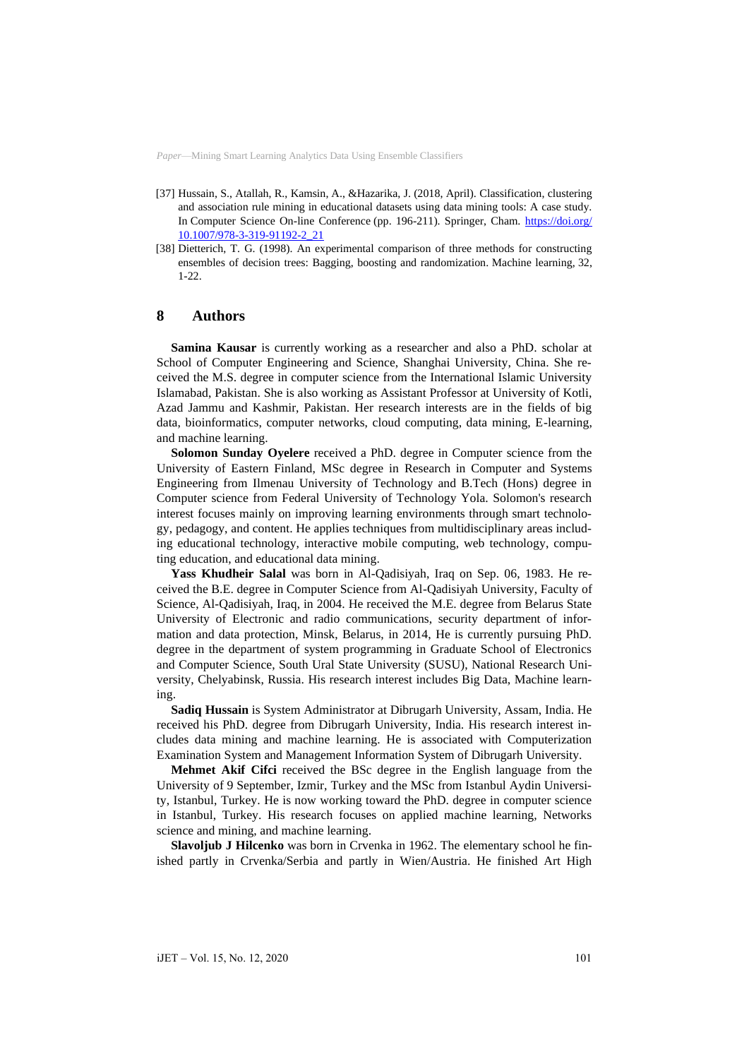- [37] Hussain, S., Atallah, R., Kamsin, A., &Hazarika, J. (2018, April). Classification, clustering and association rule mining in educational datasets using data mining tools: A case study. In Computer Science On-line Conference (pp. 196-211). Springer, Cham. [https://doi.org/](https://doi.org/10.1007/978-3-319-91192-2_21) [10.1007/978-3-319-91192-2\\_21](https://doi.org/10.1007/978-3-319-91192-2_21)
- [38] Dietterich, T. G. (1998). An experimental comparison of three methods for constructing ensembles of decision trees: Bagging, boosting and randomization. Machine learning, 32, 1-22.

# **8 Authors**

**Samina Kausar** is currently working as a researcher and also a PhD. scholar at School of Computer Engineering and Science, Shanghai University, China. She received the M.S. degree in computer science from the International Islamic University Islamabad, Pakistan. She is also working as Assistant Professor at University of Kotli, Azad Jammu and Kashmir, Pakistan. Her research interests are in the fields of big data, bioinformatics, computer networks, cloud computing, data mining, E-learning, and machine learning.

**Solomon Sunday Oyelere** received a PhD. degree in Computer science from the University of Eastern Finland, MSc degree in Research in Computer and Systems Engineering from Ilmenau University of Technology and B.Tech (Hons) degree in Computer science from Federal University of Technology Yola. Solomon's research interest focuses mainly on improving learning environments through smart technology, pedagogy, and content. He applies techniques from multidisciplinary areas including educational technology, interactive mobile computing, web technology, computing education, and educational data mining.

**Yass Khudheir Salal** was born in Al-Qadisiyah, Iraq on Sep. 06, 1983. He received the B.E. degree in Computer Science from Al-Qadisiyah University, Faculty of Science, Al-Qadisiyah, Iraq, in 2004. He received the M.E. degree from Belarus State University of Electronic and radio communications, security department of information and data protection, Minsk, Belarus, in 2014, He is currently pursuing PhD. degree in the department of system programming in Graduate School of Electronics and Computer Science, South Ural State University (SUSU), National Research University, Chelyabinsk, Russia. His research interest includes Big Data, Machine learning.

**Sadiq Hussain** is System Administrator at Dibrugarh University, Assam, India. He received his PhD. degree from Dibrugarh University, India. His research interest includes data mining and machine learning. He is associated with Computerization Examination System and Management Information System of Dibrugarh University.

**Mehmet Akif Cifci** received the BSc degree in the English language from the University of 9 September, Izmir, Turkey and the MSc from Istanbul Aydin University, Istanbul, Turkey. He is now working toward the PhD. degree in computer science in Istanbul, Turkey. His research focuses on applied machine learning, Networks science and mining, and machine learning.

**Slavoljub J Hilcenko** was born in Crvenka in 1962. The elementary school he finished partly in Crvenka/Serbia and partly in Wien/Austria. He finished Art High